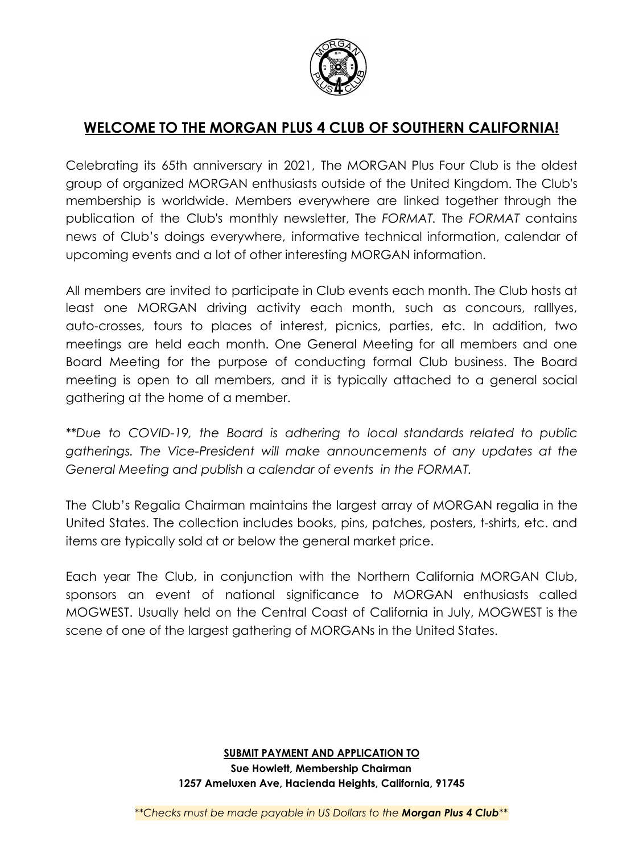

# **WELCOME TO THE MORGAN PLUS 4 CLUB OF SOUTHERN CALIFORNIA!**

Celebrating its 65th anniversary in 2021, The MORGAN Plus Four Club is the oldest group of organized MORGAN enthusiasts outside of the United Kingdom. The Club's membership is worldwide. Members everywhere are linked together through the publication of the Club's monthly newsletter, The *FORMAT.* The *FORMAT* contains news of Club's doings everywhere, informative technical information, calendar of upcoming events and a lot of other interesting MORGAN information.

All members are invited to participate in Club events each month. The Club hosts at least one MORGAN driving activity each month, such as concours, ralllyes, auto-crosses, tours to places of interest, picnics, parties, etc. In addition, two meetings are held each month. One General Meeting for all members and one Board Meeting for the purpose of conducting formal Club business. The Board meeting is open to all members, and it is typically attached to a general social gathering at the home of a member.

*\*\*Due to COVID-19, the Board is adhering to local standards related to public gatherings. The Vice-President will make announcements of any updates at the General Meeting and publish a calendar of events in the FORMAT.*

The Club's Regalia Chairman maintains the largest array of MORGAN regalia in the United States. The collection includes books, pins, patches, posters, t-shirts, etc. and items are typically sold at or below the general market price.

Each year The Club, in conjunction with the Northern California MORGAN Club, sponsors an event of national significance to MORGAN enthusiasts called MOGWEST. Usually held on the Central Coast of California in July, MOGWEST is the scene of one of the largest gathering of MORGANs in the United States.

## **SUBMIT PAYMENT AND APPLICATION TO Sue Howlett, Membership Chairman 1257 Ameluxen Ave, Hacienda Heights, California, 91745**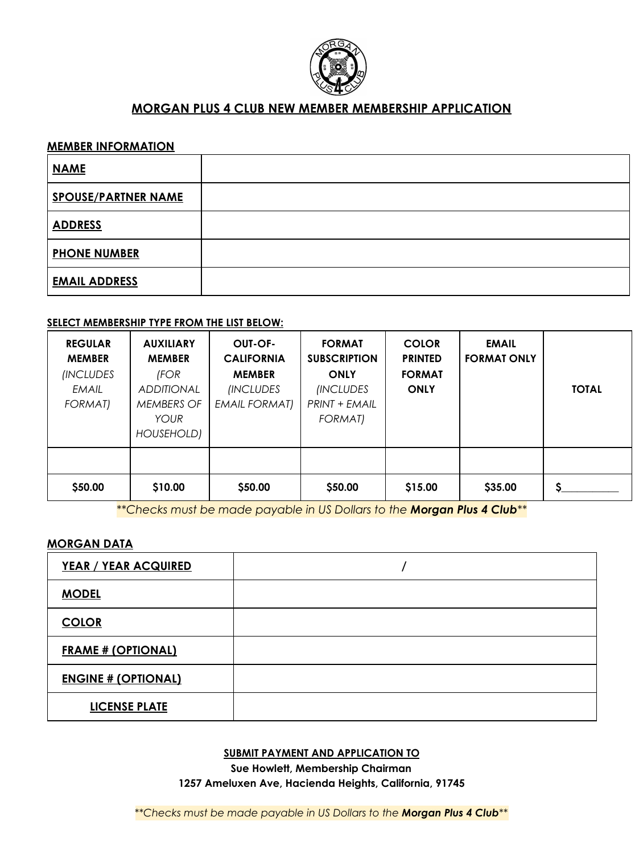

## **MORGAN PLUS 4 CLUB NEW MEMBER MEMBERSHIP APPLICATION**

#### **MEMBER INFORMATION**

| <b>NAME</b>                |  |
|----------------------------|--|
| <b>SPOUSE/PARTNER NAME</b> |  |
| <b>ADDRESS</b>             |  |
| <b>PHONE NUMBER</b>        |  |
| <b>EMAIL ADDRESS</b>       |  |

#### **SELECT MEMBERSHIP TYPE FROM THE LIST BELOW:**

| <b>REGULAR</b><br><b>MEMBER</b><br><i><b>INCLUDES</b></i><br>EMAIL<br><b>FORMAT)</b> | <b>AUXILIARY</b><br><b>MEMBER</b><br>(FOR<br><b>ADDITIONAL</b><br><b>MEMBERS OF</b><br><b>YOUR</b><br>HOUSEHOLD) | OUT-OF-<br><b>CALIFORNIA</b><br><b>MEMBER</b><br><i><b>INCLUDES</b></i><br><b>EMAIL FORMAT)</b> | <b>FORMAT</b><br><b>SUBSCRIPTION</b><br><b>ONLY</b><br><i>(INCLUDES</i><br>PRINT + EMAIL<br><b>FORMAT)</b> | <b>COLOR</b><br><b>PRINTED</b><br><b>FORMAT</b><br><b>ONLY</b> | <b>EMAIL</b><br><b>FORMAT ONLY</b> | <b>TOTAL</b> |
|--------------------------------------------------------------------------------------|------------------------------------------------------------------------------------------------------------------|-------------------------------------------------------------------------------------------------|------------------------------------------------------------------------------------------------------------|----------------------------------------------------------------|------------------------------------|--------------|
|                                                                                      |                                                                                                                  |                                                                                                 |                                                                                                            |                                                                |                                    |              |
| \$50.00                                                                              | \$10.00                                                                                                          | \$50.00                                                                                         | \$50.00                                                                                                    | \$15.00                                                        | \$35.00                            |              |

*\*\*Checks must be made payable in US Dollars to the Morgan Plus 4 Club\*\**

#### **MORGAN DATA**

| <b>YEAR / YEAR ACQUIRED</b> |  |
|-----------------------------|--|
| <b>MODEL</b>                |  |
| <b>COLOR</b>                |  |
| <b>FRAME # (OPTIONAL)</b>   |  |
| <b>ENGINE # (OPTIONAL)</b>  |  |
| <b>LICENSE PLATE</b>        |  |

#### **SUBMIT PAYMENT AND APPLICATION TO**

**Sue Howlett, Membership Chairman 1257 Ameluxen Ave, Hacienda Heights, California, 91745**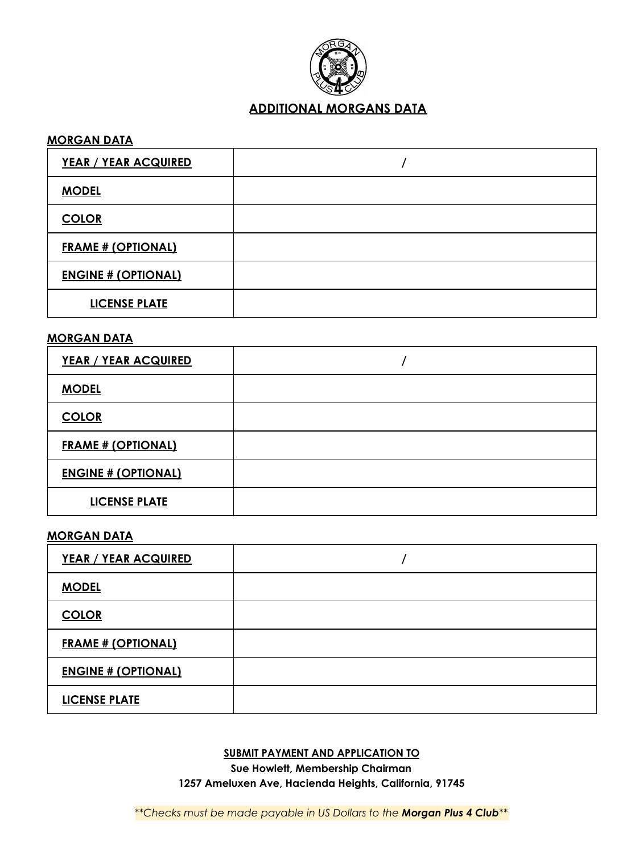

# **ADDITIONAL MORGANS DATA**

#### **MORGAN DATA**

| <b>YEAR / YEAR ACQUIRED</b> |  |
|-----------------------------|--|
| <b>MODEL</b>                |  |
| <b>COLOR</b>                |  |
| <b>FRAME # (OPTIONAL)</b>   |  |
| <b>ENGINE # (OPTIONAL)</b>  |  |
| <b>LICENSE PLATE</b>        |  |

## **MORGAN DATA**

| <b>YEAR / YEAR ACQUIRED</b> |  |
|-----------------------------|--|
| <b>MODEL</b>                |  |
| <b>COLOR</b>                |  |
| <b>FRAME # (OPTIONAL)</b>   |  |
| <b>ENGINE # (OPTIONAL)</b>  |  |
| <b>LICENSE PLATE</b>        |  |

#### **MORGAN DATA**

| <b>YEAR / YEAR ACQUIRED</b> |  |
|-----------------------------|--|
| <b>MODEL</b>                |  |
| <b>COLOR</b>                |  |
| <b>FRAME # (OPTIONAL)</b>   |  |
| <b>ENGINE # (OPTIONAL)</b>  |  |
| <b>LICENSE PLATE</b>        |  |

### **SUBMIT PAYMENT AND APPLICATION TO**

**Sue Howlett, Membership Chairman 1257 Ameluxen Ave, Hacienda Heights, California, 91745**